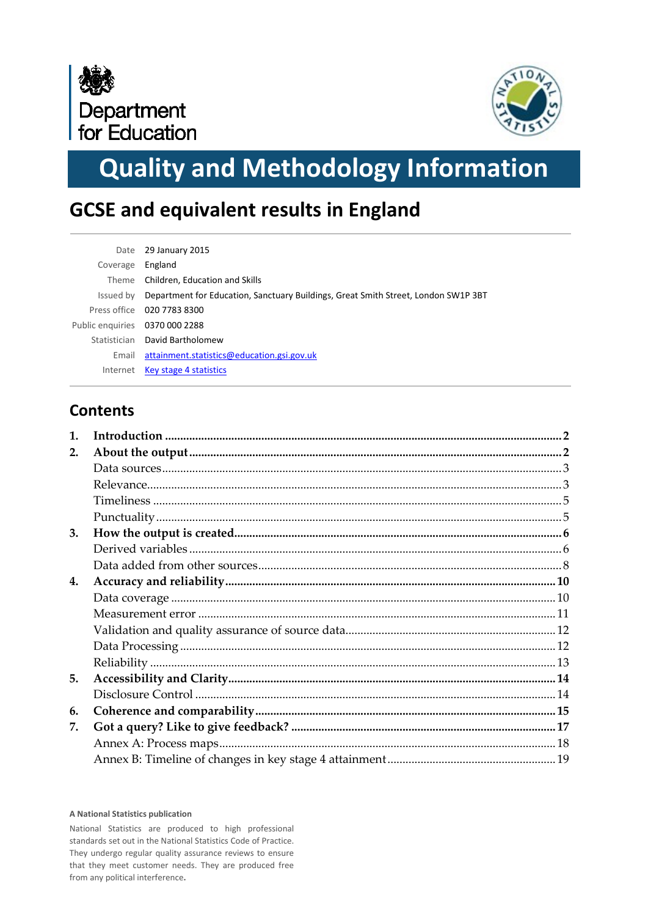



# **Quality and Methodology Information**

# **GCSE and equivalent results in England**

| Date                           | 29 January 2015                                                                    |
|--------------------------------|------------------------------------------------------------------------------------|
| Coverage                       | England                                                                            |
| Theme                          | Children, Education and Skills                                                     |
| Issued by                      | Department for Education, Sanctuary Buildings, Great Smith Street, London SW1P 3BT |
|                                | Press office 020 7783 8300                                                         |
| Public enquiries 0370 000 2288 |                                                                                    |
|                                | Statistician David Bartholomew                                                     |
| Email                          | attainment.statistics@education.gsi.gov.uk                                         |
| Internet                       | <b>Key stage 4 statistics</b>                                                      |

## **Contents**

| $\mathbf{1}$ . |  |
|----------------|--|
| 2.             |  |
|                |  |
|                |  |
|                |  |
|                |  |
| 3.             |  |
|                |  |
|                |  |
| 4.             |  |
|                |  |
|                |  |
|                |  |
|                |  |
|                |  |
| 5.             |  |
|                |  |
| 6.             |  |
| 7.             |  |
|                |  |
|                |  |
|                |  |

#### **A National Statistics publication**

National Statistics are produced to high professional standards set out in the National Statistics Code of Practice. They undergo regular quality assurance reviews to ensure that they meet customer needs. They are produced free from any political interference**.**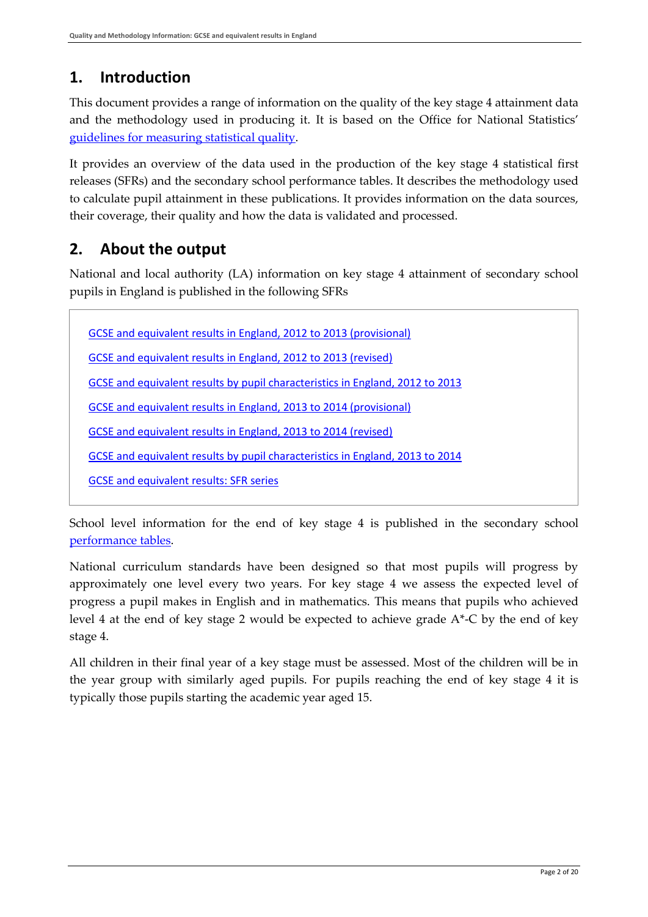## <span id="page-1-0"></span>**1. Introduction**

This document provides a range of information on the quality of the key stage 4 attainment data and the methodology used in producing it. It is based on the Office for National Statistics' [guidelines for measuring statistical quality.](http://www.ons.gov.uk/ons/guide-method/method-quality/quality/guidelines-for-measuring-statistical-quality/index.html)

It provides an overview of the data used in the production of the key stage 4 statistical first releases (SFRs) and the secondary school performance tables. It describes the methodology used to calculate pupil attainment in these publications. It provides information on the data sources, their coverage, their quality and how the data is validated and processed.

## <span id="page-1-1"></span>**2. About the output**

National and local authority (LA) information on key stage 4 attainment of secondary school pupils in England is published in the following SFRs

[GCSE and equivalent results in England, 2012 to 2013 \(provisional\)](https://www.gov.uk/government/statistics/2013-gcse-and-equivalent-results-including-key-stage-3-provisional)

[GCSE and equivalent results in England, 2012 to 2013 \(revised\)](https://www.gov.uk/government/statistics/gcse-and-equivalent-results-in-england-2012-to-2013-revised)

[GCSE and equivalent results by pupil characteristics in England, 2012 to 2013](https://www.gov.uk/government/statistics/gcse-and-equivalent-attainment-by-pupil-characteristics-2012-to-2013)

[GCSE and equivalent results in England, 2013 to 2014 \(provisional\)](https://www.gov.uk/government/statistics/provisional-gcse-and-equivalent-results-in-england-2013-to-2014)

[GCSE and equivalent results in England, 2013 to 2014 \(revised\)](https://www.gov.uk/government/collections/statistics-gcses-key-stage-4)

[GCSE and equivalent results by pupil characteristics in England, 2013 to 2014](https://www.gov.uk/government/collections/statistics-gcses-key-stage-4)

[GCSE and equivalent results: SFR series](https://www.gov.uk/government/collections/statistics-gcses-key-stage-4)

School level information for the end of key stage 4 is published in the secondary school [performance tables.](http://www.education.gov.uk/schools/performance/index.html)

National curriculum standards have been designed so that most pupils will progress by approximately one level every two years. For key stage 4 we assess the expected level of progress a pupil makes in English and in mathematics. This means that pupils who achieved level 4 at the end of key stage 2 would be expected to achieve grade  $A^*$ -C by the end of key stage 4.

<span id="page-1-2"></span>All children in their final year of a key stage must be assessed. Most of the children will be in the year group with similarly aged pupils. For pupils reaching the end of key stage 4 it is typically those pupils starting the academic year aged 15.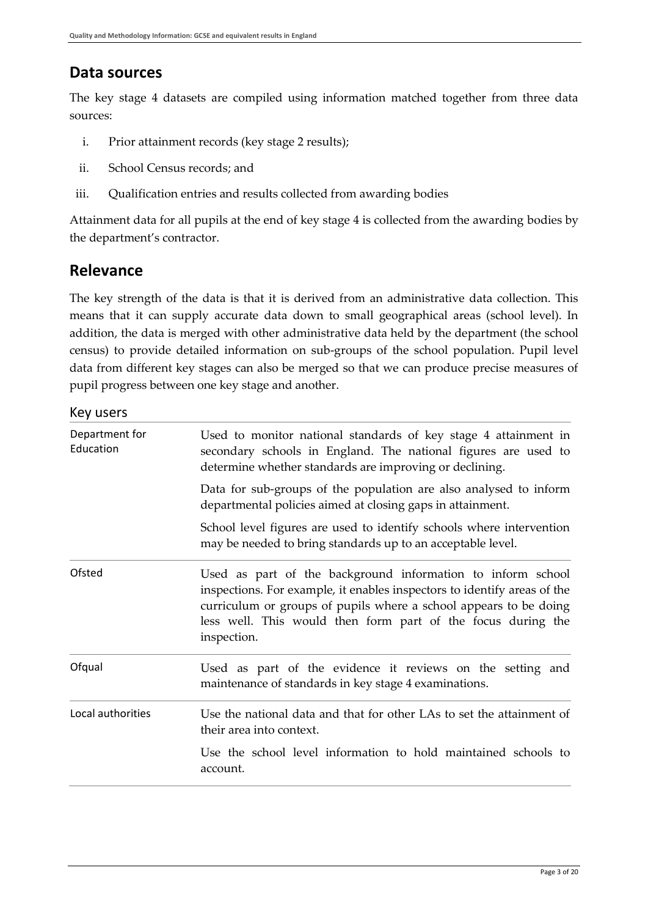## **Data sources**

The key stage 4 datasets are compiled using information matched together from three data sources:

- i. Prior attainment records (key stage 2 results);
- ii. School Census records; and
- iii. Qualification entries and results collected from awarding bodies

Attainment data for all pupils at the end of key stage 4 is collected from the awarding bodies by the department's contractor.

## <span id="page-2-0"></span>**Relevance**

The key strength of the data is that it is derived from an administrative data collection. This means that it can supply accurate data down to small geographical areas (school level). In addition, the data is merged with other administrative data held by the department (the school census) to provide detailed information on sub-groups of the school population. Pupil level data from different key stages can also be merged so that we can produce precise measures of pupil progress between one key stage and another.

### Key users

| Department for<br>Education | Used to monitor national standards of key stage 4 attainment in<br>secondary schools in England. The national figures are used to<br>determine whether standards are improving or declining.                                                                                                |
|-----------------------------|---------------------------------------------------------------------------------------------------------------------------------------------------------------------------------------------------------------------------------------------------------------------------------------------|
|                             | Data for sub-groups of the population are also analysed to inform<br>departmental policies aimed at closing gaps in attainment.                                                                                                                                                             |
|                             | School level figures are used to identify schools where intervention<br>may be needed to bring standards up to an acceptable level.                                                                                                                                                         |
| Ofsted                      | Used as part of the background information to inform school<br>inspections. For example, it enables inspectors to identify areas of the<br>curriculum or groups of pupils where a school appears to be doing<br>less well. This would then form part of the focus during the<br>inspection. |
| Ofqual                      | Used as part of the evidence it reviews on the setting and<br>maintenance of standards in key stage 4 examinations.                                                                                                                                                                         |
| Local authorities           | Use the national data and that for other LAs to set the attainment of<br>their area into context.<br>Use the school level information to hold maintained schools to<br>account.                                                                                                             |
|                             |                                                                                                                                                                                                                                                                                             |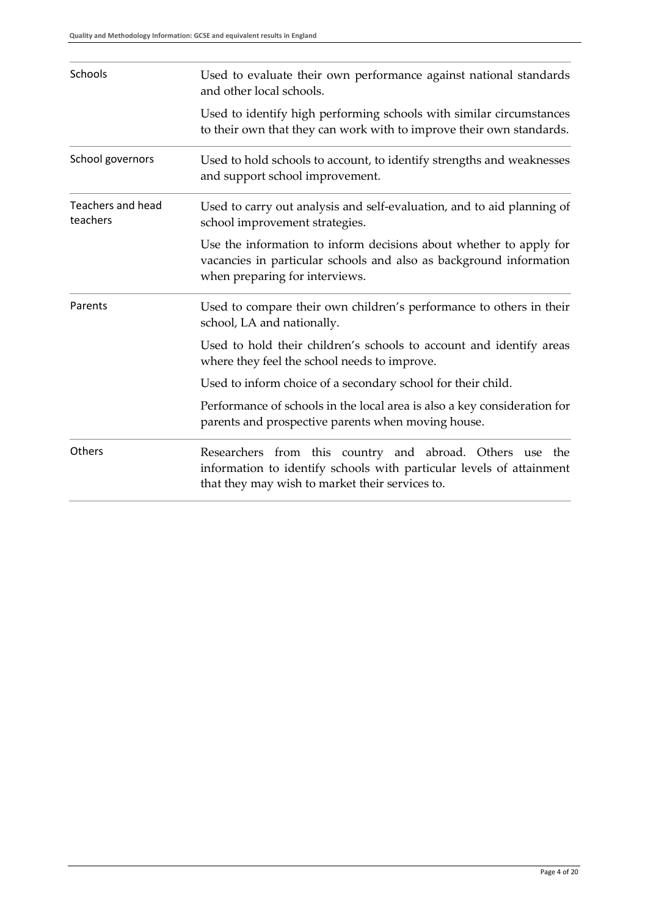<span id="page-3-0"></span>

| Schools                              | Used to evaluate their own performance against national standards<br>and other local schools.                                                                                       |
|--------------------------------------|-------------------------------------------------------------------------------------------------------------------------------------------------------------------------------------|
|                                      | Used to identify high performing schools with similar circumstances<br>to their own that they can work with to improve their own standards.                                         |
| School governors                     | Used to hold schools to account, to identify strengths and weaknesses<br>and support school improvement.                                                                            |
| <b>Teachers and head</b><br>teachers | Used to carry out analysis and self-evaluation, and to aid planning of<br>school improvement strategies.                                                                            |
|                                      | Use the information to inform decisions about whether to apply for<br>vacancies in particular schools and also as background information<br>when preparing for interviews.          |
| Parents                              | Used to compare their own children's performance to others in their<br>school, LA and nationally.                                                                                   |
|                                      | Used to hold their children's schools to account and identify areas<br>where they feel the school needs to improve.                                                                 |
|                                      | Used to inform choice of a secondary school for their child.                                                                                                                        |
|                                      | Performance of schools in the local area is also a key consideration for<br>parents and prospective parents when moving house.                                                      |
| Others                               | Researchers from this country and abroad. Others use the<br>information to identify schools with particular levels of attainment<br>that they may wish to market their services to. |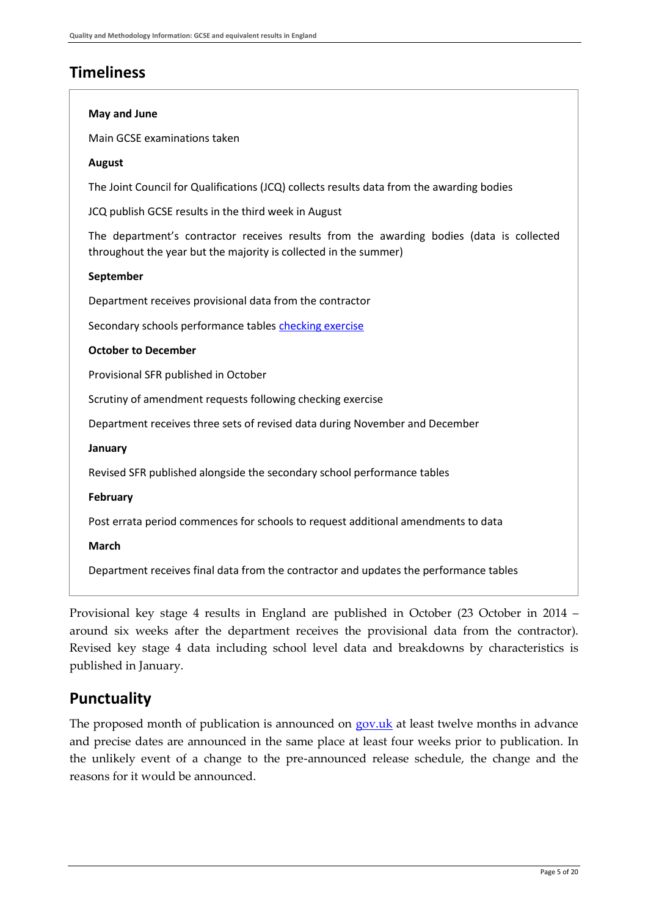## **Timeliness**

#### **May and June**

Main GCSE examinations taken

#### **August**

The Joint Council for Qualifications (JCQ) collects results data from the awarding bodies

JCQ publish GCSE results in the third week in August

The department's contractor receives results from the awarding bodies (data is collected throughout the year but the majority is collected in the summer)

#### **September**

Department receives provisional data from the contractor

Secondary schools performance tables [checking exercise](#page-9-1)

#### **October to December**

Provisional SFR published in October

Scrutiny of amendment requests following checking exercise

Department receives three sets of revised data during November and December

#### **January**

Revised SFR published alongside the secondary school performance tables

#### **February**

Post errata period commences for schools to request additional amendments to data

#### **March**

Department receives final data from the contractor and updates the performance tables

Provisional key stage 4 results in England are published in October (23 October in 2014 – around six weeks after the department receives the provisional data from the contractor). Revised key stage 4 data including school level data and breakdowns by characteristics is published in January.

### <span id="page-4-0"></span>**Punctuality**

The proposed month of publication is announced on [gov.uk](https://www.gov.uk/government/organisations/department-for-education/about/statistics#forthcoming-publications) at least twelve months in advance and precise dates are announced in the same place at least four weeks prior to publication. In the unlikely event of a change to the pre-announced release schedule, the change and the reasons for it would be announced.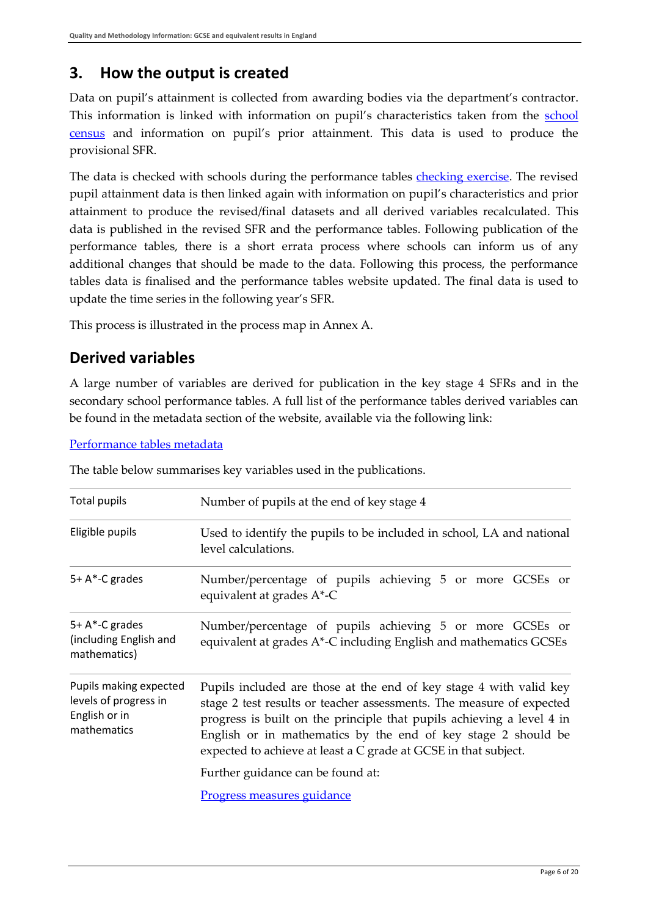## <span id="page-5-0"></span>**3. How the output is created**

Data on pupil's attainment is collected from awarding bodies via the department's contractor. This information is linked with information on pupil's characteristics taken from the [school](https://www.gov.uk/government/collections/school-census)  [census](https://www.gov.uk/government/collections/school-census) and information on pupil's prior attainment. This data is used to produce the provisional SFR.

The data is checked with schools during the performance tables [checking exercise.](#page-9-1) The revised pupil attainment data is then linked again with information on pupil's characteristics and prior attainment to produce the revised/final datasets and all derived variables recalculated. This data is published in the revised SFR and the performance tables. Following publication of the performance tables, there is a short errata process where schools can inform us of any additional changes that should be made to the data. Following this process, the performance tables data is finalised and the performance tables website updated. The final data is used to update the time series in the following year's SFR.

This process is illustrated in the process map in Annex A.

## <span id="page-5-1"></span>**Derived variables**

A large number of variables are derived for publication in the key stage 4 SFRs and in the secondary school performance tables. A full list of the performance tables derived variables can be found in the metadata section of the website, available via the following link:

#### [Performance tables metadata](http://www.education.gov.uk/schools/performance/metadata.html)

| Total pupils                                                                    | Number of pupils at the end of key stage 4                                                                                                                                                                                                                                                                                                                                                   |  |  |
|---------------------------------------------------------------------------------|----------------------------------------------------------------------------------------------------------------------------------------------------------------------------------------------------------------------------------------------------------------------------------------------------------------------------------------------------------------------------------------------|--|--|
| Eligible pupils                                                                 | Used to identify the pupils to be included in school, LA and national<br>level calculations.                                                                                                                                                                                                                                                                                                 |  |  |
| 5+ A*-C grades                                                                  | Number/percentage of pupils achieving 5 or more GCSEs or<br>equivalent at grades A*-C                                                                                                                                                                                                                                                                                                        |  |  |
| 5+ A*-C grades<br>(including English and<br>mathematics)                        | Number/percentage of pupils achieving 5 or more GCSEs or<br>equivalent at grades A*-C including English and mathematics GCSEs                                                                                                                                                                                                                                                                |  |  |
| Pupils making expected<br>levels of progress in<br>English or in<br>mathematics | Pupils included are those at the end of key stage 4 with valid key<br>stage 2 test results or teacher assessments. The measure of expected<br>progress is built on the principle that pupils achieving a level 4 in<br>English or in mathematics by the end of key stage 2 should be<br>expected to achieve at least a C grade at GCSE in that subject.<br>Further guidance can be found at: |  |  |
|                                                                                 | <u>Progress measures guidance</u>                                                                                                                                                                                                                                                                                                                                                            |  |  |

The table below summarises key variables used in the publications.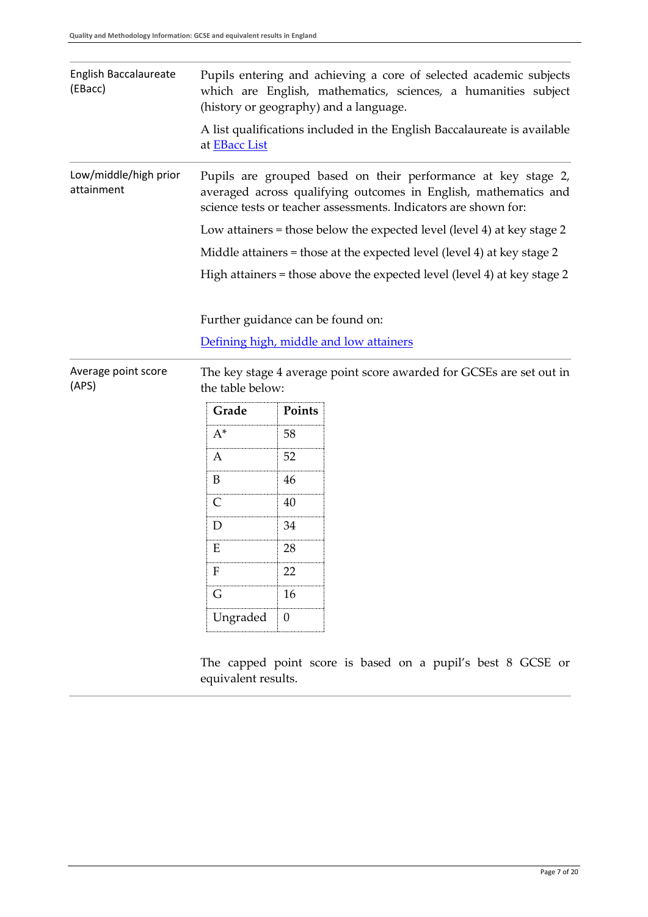<span id="page-6-0"></span>

| English Baccalaureate<br>(EBacc)    | Pupils entering and achieving a core of selected academic subjects<br>which are English, mathematics, sciences, a humanities subject<br>(history or geography) and a language. |                  |                                                                                                                                                                                                     |  |
|-------------------------------------|--------------------------------------------------------------------------------------------------------------------------------------------------------------------------------|------------------|-----------------------------------------------------------------------------------------------------------------------------------------------------------------------------------------------------|--|
|                                     | at <b>EBacc</b> List                                                                                                                                                           |                  | A list qualifications included in the English Baccalaureate is available                                                                                                                            |  |
| Low/middle/high prior<br>attainment |                                                                                                                                                                                |                  | Pupils are grouped based on their performance at key stage 2,<br>averaged across qualifying outcomes in English, mathematics and<br>science tests or teacher assessments. Indicators are shown for: |  |
|                                     |                                                                                                                                                                                |                  | Low attainers = those below the expected level (level 4) at key stage 2                                                                                                                             |  |
|                                     |                                                                                                                                                                                |                  | Middle attainers = those at the expected level (level 4) at key stage 2                                                                                                                             |  |
|                                     | High attainers = those above the expected level (level 4) at key stage 2                                                                                                       |                  |                                                                                                                                                                                                     |  |
|                                     |                                                                                                                                                                                |                  |                                                                                                                                                                                                     |  |
|                                     | Further guidance can be found on:                                                                                                                                              |                  |                                                                                                                                                                                                     |  |
|                                     | Defining high, middle and low attainers                                                                                                                                        |                  |                                                                                                                                                                                                     |  |
|                                     |                                                                                                                                                                                |                  |                                                                                                                                                                                                     |  |
| Average point score<br>(APS)        | the table below:                                                                                                                                                               |                  | The key stage 4 average point score awarded for GCSEs are set out in                                                                                                                                |  |
|                                     | Grade                                                                                                                                                                          | Points           |                                                                                                                                                                                                     |  |
|                                     | $A^*$                                                                                                                                                                          |                  |                                                                                                                                                                                                     |  |
|                                     |                                                                                                                                                                                | 58               |                                                                                                                                                                                                     |  |
|                                     | A                                                                                                                                                                              | 52               |                                                                                                                                                                                                     |  |
|                                     | B                                                                                                                                                                              | 46               |                                                                                                                                                                                                     |  |
|                                     | $\mathsf{C}$                                                                                                                                                                   | 40               |                                                                                                                                                                                                     |  |
|                                     | D                                                                                                                                                                              | 34               |                                                                                                                                                                                                     |  |
|                                     | ${\bf E}$                                                                                                                                                                      | 28               |                                                                                                                                                                                                     |  |
|                                     |                                                                                                                                                                                |                  |                                                                                                                                                                                                     |  |
|                                     | $\mathbf{F}$                                                                                                                                                                   | 22               |                                                                                                                                                                                                     |  |
|                                     | G                                                                                                                                                                              | 16               |                                                                                                                                                                                                     |  |
|                                     | Ungraded                                                                                                                                                                       | $\boldsymbol{0}$ |                                                                                                                                                                                                     |  |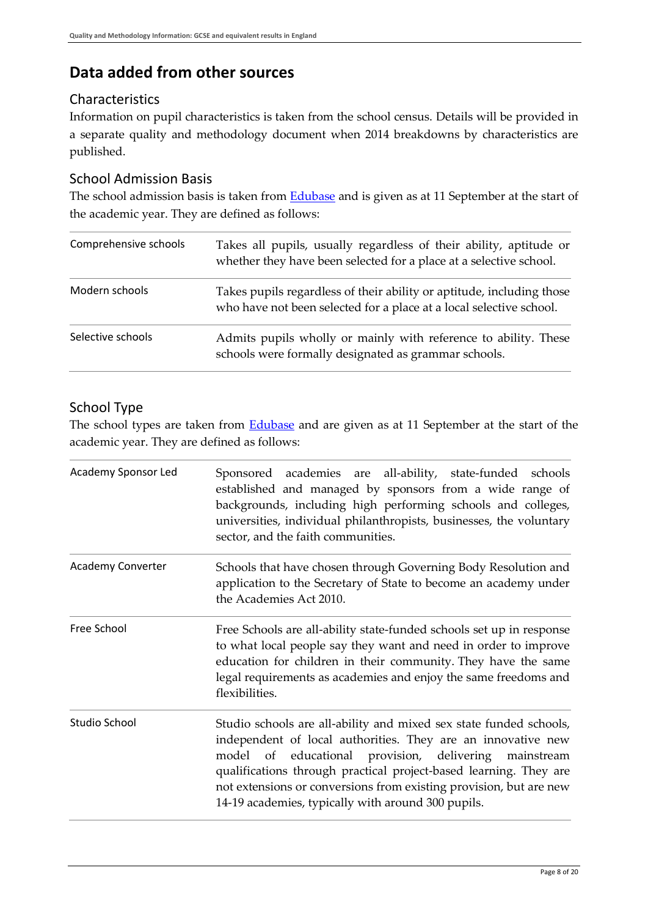## **Data added from other sources**

### **Characteristics**

Information on pupil characteristics is taken from the school census. Details will be provided in a separate quality and methodology document when 2014 breakdowns by characteristics are published.

### School Admission Basis

The school admission basis is taken from **Edubase** and is given as at 11 September at the start of the academic year. They are defined as follows:

| Comprehensive schools | Takes all pupils, usually regardless of their ability, aptitude or<br>whether they have been selected for a place at a selective school.     |
|-----------------------|----------------------------------------------------------------------------------------------------------------------------------------------|
| Modern schools        | Takes pupils regardless of their ability or aptitude, including those<br>who have not been selected for a place at a local selective school. |
| Selective schools     | Admits pupils wholly or mainly with reference to ability. These<br>schools were formally designated as grammar schools.                      |

## School Type

The school types are taken from **Edubase** and are given as at 11 September at the start of the academic year. They are defined as follows:

| Academy Sponsor Led | Sponsored academies are all-ability, state-funded schools<br>established and managed by sponsors from a wide range of<br>backgrounds, including high performing schools and colleges,<br>universities, individual philanthropists, businesses, the voluntary<br>sector, and the faith communities.                                                                                                 |  |  |
|---------------------|----------------------------------------------------------------------------------------------------------------------------------------------------------------------------------------------------------------------------------------------------------------------------------------------------------------------------------------------------------------------------------------------------|--|--|
| Academy Converter   | Schools that have chosen through Governing Body Resolution and<br>application to the Secretary of State to become an academy under<br>the Academies Act 2010.                                                                                                                                                                                                                                      |  |  |
| Free School         | Free Schools are all-ability state-funded schools set up in response<br>to what local people say they want and need in order to improve<br>education for children in their community. They have the same<br>legal requirements as academies and enjoy the same freedoms and<br>flexibilities.                                                                                                      |  |  |
| Studio School       | Studio schools are all-ability and mixed sex state funded schools,<br>independent of local authorities. They are an innovative new<br>of educational provision, delivering<br>mainstream<br>model<br>qualifications through practical project-based learning. They are<br>not extensions or conversions from existing provision, but are new<br>14-19 academies, typically with around 300 pupils. |  |  |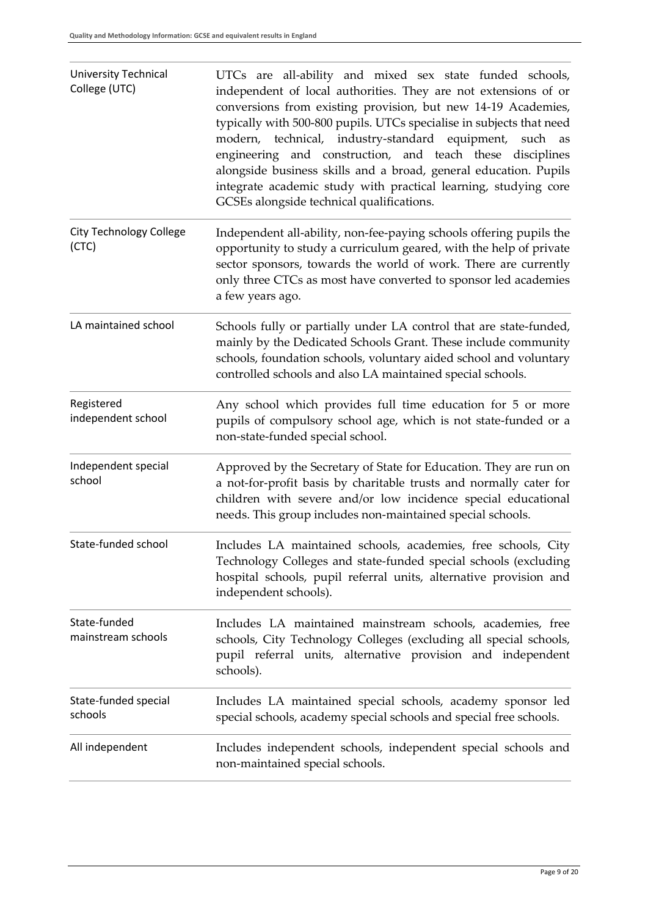| <b>University Technical</b><br>College (UTC) | UTCs are all-ability and mixed sex state funded schools,<br>independent of local authorities. They are not extensions of or<br>conversions from existing provision, but new 14-19 Academies,<br>typically with 500-800 pupils. UTCs specialise in subjects that need<br>modern, technical, industry-standard equipment, such as<br>engineering and construction, and teach these disciplines |
|----------------------------------------------|----------------------------------------------------------------------------------------------------------------------------------------------------------------------------------------------------------------------------------------------------------------------------------------------------------------------------------------------------------------------------------------------|
|                                              | alongside business skills and a broad, general education. Pupils<br>integrate academic study with practical learning, studying core<br>GCSEs alongside technical qualifications.                                                                                                                                                                                                             |
| <b>City Technology College</b><br>(CTC)      | Independent all-ability, non-fee-paying schools offering pupils the<br>opportunity to study a curriculum geared, with the help of private<br>sector sponsors, towards the world of work. There are currently<br>only three CTCs as most have converted to sponsor led academies<br>a few years ago.                                                                                          |
| LA maintained school                         | Schools fully or partially under LA control that are state-funded,<br>mainly by the Dedicated Schools Grant. These include community<br>schools, foundation schools, voluntary aided school and voluntary<br>controlled schools and also LA maintained special schools.                                                                                                                      |
| Registered<br>independent school             | Any school which provides full time education for 5 or more<br>pupils of compulsory school age, which is not state-funded or a<br>non-state-funded special school.                                                                                                                                                                                                                           |
| Independent special<br>school                | Approved by the Secretary of State for Education. They are run on<br>a not-for-profit basis by charitable trusts and normally cater for<br>children with severe and/or low incidence special educational<br>needs. This group includes non-maintained special schools.                                                                                                                       |
| State-funded school                          | Includes LA maintained schools, academies, free schools, City<br>Technology Colleges and state-funded special schools (excluding<br>hospital schools, pupil referral units, alternative provision and<br>independent schools).                                                                                                                                                               |
| State-funded<br>mainstream schools           | Includes LA maintained mainstream schools, academies, free<br>schools, City Technology Colleges (excluding all special schools,<br>pupil referral units, alternative provision and independent<br>schools).                                                                                                                                                                                  |
| State-funded special<br>schools              | Includes LA maintained special schools, academy sponsor led<br>special schools, academy special schools and special free schools.                                                                                                                                                                                                                                                            |
| All independent                              | Includes independent schools, independent special schools and<br>non-maintained special schools.                                                                                                                                                                                                                                                                                             |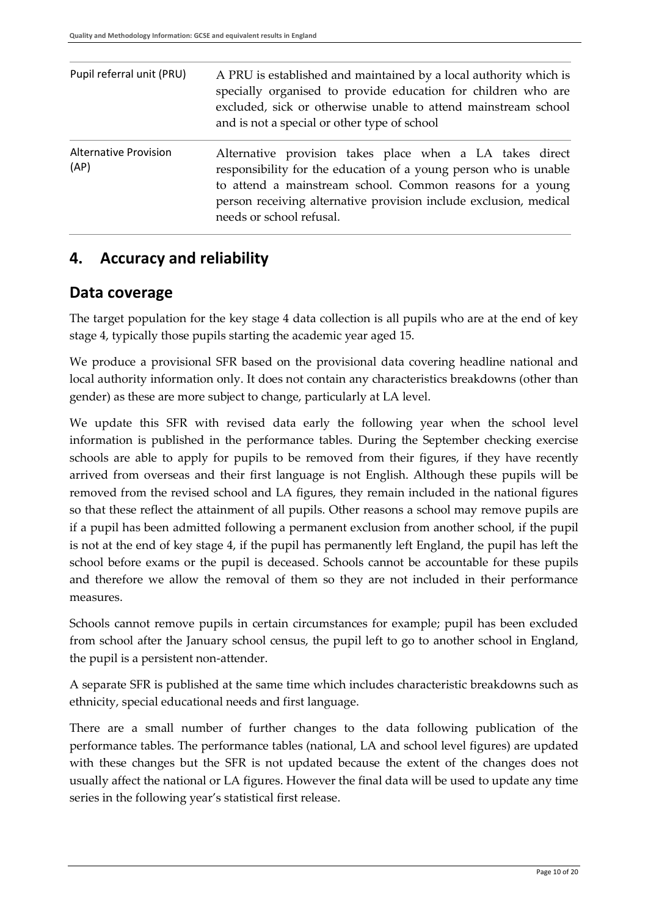| Pupil referral unit (PRU)            | A PRU is established and maintained by a local authority which is<br>specially organised to provide education for children who are<br>excluded, sick or otherwise unable to attend mainstream school<br>and is not a special or other type of school                                       |
|--------------------------------------|--------------------------------------------------------------------------------------------------------------------------------------------------------------------------------------------------------------------------------------------------------------------------------------------|
| <b>Alternative Provision</b><br>(AP) | Alternative provision takes place when a LA takes direct<br>responsibility for the education of a young person who is unable<br>to attend a mainstream school. Common reasons for a young<br>person receiving alternative provision include exclusion, medical<br>needs or school refusal. |

## <span id="page-9-0"></span>**4. Accuracy and reliability**

### <span id="page-9-1"></span>**Data coverage**

The target population for the key stage 4 data collection is all pupils who are at the end of key stage 4, typically those pupils starting the academic year aged 15.

We produce a provisional SFR based on the provisional data covering headline national and local authority information only. It does not contain any characteristics breakdowns (other than gender) as these are more subject to change, particularly at LA level.

We update this SFR with revised data early the following year when the school level information is published in the performance tables. During the September checking exercise schools are able to apply for pupils to be removed from their figures, if they have recently arrived from overseas and their first language is not English. Although these pupils will be removed from the revised school and LA figures, they remain included in the national figures so that these reflect the attainment of all pupils. Other reasons a school may remove pupils are if a pupil has been admitted following a permanent exclusion from another school, if the pupil is not at the end of key stage 4, if the pupil has permanently left England, the pupil has left the school before exams or the pupil is deceased. Schools cannot be accountable for these pupils and therefore we allow the removal of them so they are not included in their performance measures.

Schools cannot remove pupils in certain circumstances for example; pupil has been excluded from school after the January school census, the pupil left to go to another school in England, the pupil is a persistent non-attender.

A separate SFR is published at the same time which includes characteristic breakdowns such as ethnicity, special educational needs and first language.

There are a small number of further changes to the data following publication of the performance tables. The performance tables (national, LA and school level figures) are updated with these changes but the SFR is not updated because the extent of the changes does not usually affect the national or LA figures. However the final data will be used to update any time series in the following year's statistical first release.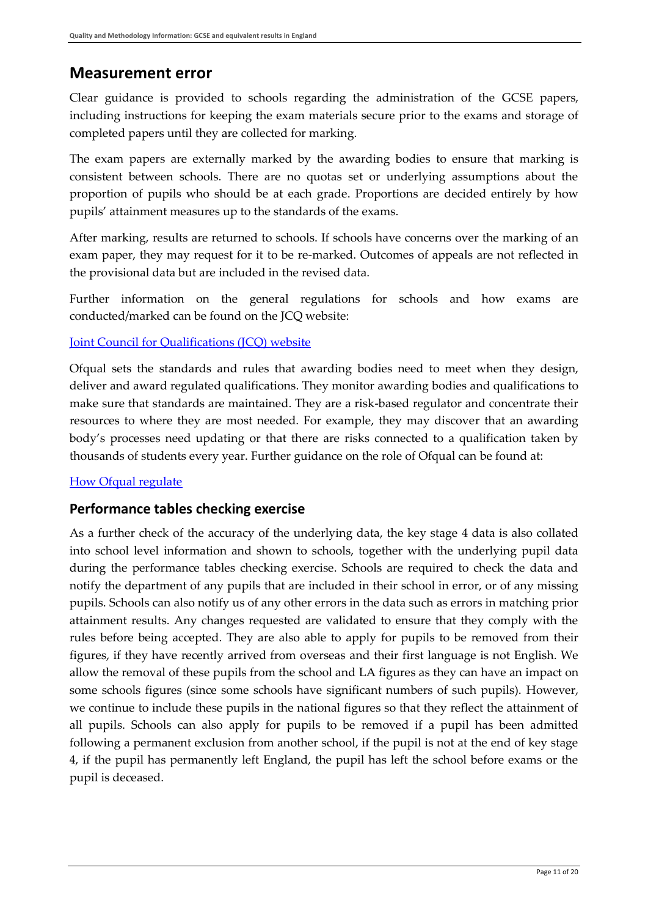### <span id="page-10-0"></span>**Measurement error**

Clear guidance is provided to schools regarding the administration of the GCSE papers, including instructions for keeping the exam materials secure prior to the exams and storage of completed papers until they are collected for marking.

The exam papers are externally marked by the awarding bodies to ensure that marking is consistent between schools. There are no quotas set or underlying assumptions about the proportion of pupils who should be at each grade. Proportions are decided entirely by how pupils' attainment measures up to the standards of the exams.

After marking, results are returned to schools. If schools have concerns over the marking of an exam paper, they may request for it to be re-marked. Outcomes of appeals are not reflected in the provisional data but are included in the revised data.

Further information on the general regulations for schools and how exams are conducted/marked can be found on the JCQ website:

### [Joint Council for Qualifications \(JCQ\) website](http://www.jcq.org.uk/)

Ofqual sets the standards and rules that awarding bodies need to meet when they design, deliver and award regulated qualifications. They monitor awarding bodies and qualifications to make sure that standards are maintained. They are a risk-based regulator and concentrate their resources to where they are most needed. For example, they may discover that an awarding body's processes need updating or that there are risks connected to a qualification taken by thousands of students every year. Further guidance on the role of Ofqual can be found at:

### How Ofgual regulate

### **Performance tables checking exercise**

As a further check of the accuracy of the underlying data, the key stage 4 data is also collated into school level information and shown to schools, together with the underlying pupil data during the performance tables checking exercise. Schools are required to check the data and notify the department of any pupils that are included in their school in error, or of any missing pupils. Schools can also notify us of any other errors in the data such as errors in matching prior attainment results. Any changes requested are validated to ensure that they comply with the rules before being accepted. They are also able to apply for pupils to be removed from their figures, if they have recently arrived from overseas and their first language is not English. We allow the removal of these pupils from the school and LA figures as they can have an impact on some schools figures (since some schools have significant numbers of such pupils). However, we continue to include these pupils in the national figures so that they reflect the attainment of all pupils. Schools can also apply for pupils to be removed if a pupil has been admitted following a permanent exclusion from another school, if the pupil is not at the end of key stage 4, if the pupil has permanently left England, the pupil has left the school before exams or the pupil is deceased.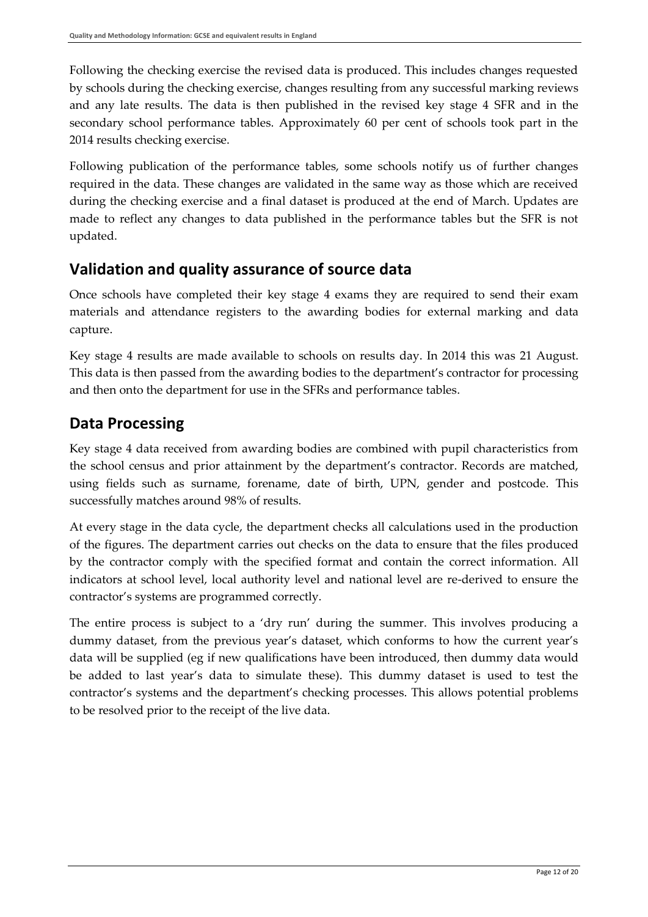Following the checking exercise the revised data is produced. This includes changes requested by schools during the checking exercise, changes resulting from any successful marking reviews and any late results. The data is then published in the revised key stage 4 SFR and in the secondary school performance tables. Approximately 60 per cent of schools took part in the 2014 results checking exercise.

Following publication of the performance tables, some schools notify us of further changes required in the data. These changes are validated in the same way as those which are received during the checking exercise and a final dataset is produced at the end of March. Updates are made to reflect any changes to data published in the performance tables but the SFR is not updated.

## <span id="page-11-0"></span>**Validation and quality assurance of source data**

Once schools have completed their key stage 4 exams they are required to send their exam materials and attendance registers to the awarding bodies for external marking and data capture.

Key stage 4 results are made available to schools on results day. In 2014 this was 21 August. This data is then passed from the awarding bodies to the department's contractor for processing and then onto the department for use in the SFRs and performance tables.

## <span id="page-11-1"></span>**Data Processing**

Key stage 4 data received from awarding bodies are combined with pupil characteristics from the school census and prior attainment by the department's contractor. Records are matched, using fields such as surname, forename, date of birth, UPN, gender and postcode. This successfully matches around 98% of results.

At every stage in the data cycle, the department checks all calculations used in the production of the figures. The department carries out checks on the data to ensure that the files produced by the contractor comply with the specified format and contain the correct information. All indicators at school level, local authority level and national level are re-derived to ensure the contractor's systems are programmed correctly.

The entire process is subject to a 'dry run' during the summer. This involves producing a dummy dataset, from the previous year's dataset, which conforms to how the current year's data will be supplied (eg if new qualifications have been introduced, then dummy data would be added to last year's data to simulate these). This dummy dataset is used to test the contractor's systems and the department's checking processes. This allows potential problems to be resolved prior to the receipt of the live data.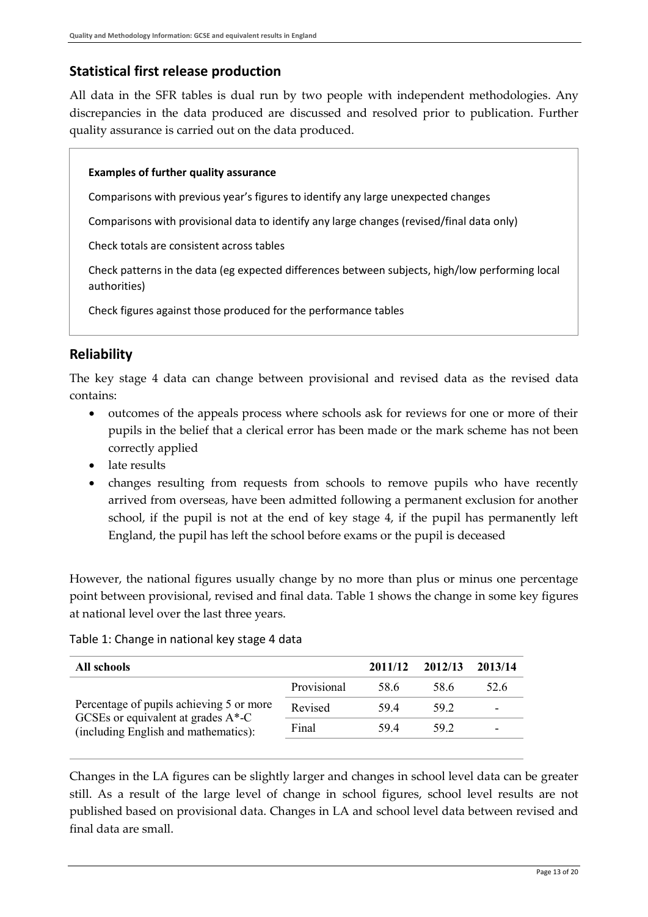### **Statistical first release production**

All data in the SFR tables is dual run by two people with independent methodologies. Any discrepancies in the data produced are discussed and resolved prior to publication. Further quality assurance is carried out on the data produced.

#### **Examples of further quality assurance**

Comparisons with previous year's figures to identify any large unexpected changes

Comparisons with provisional data to identify any large changes (revised/final data only)

Check totals are consistent across tables

Check patterns in the data (eg expected differences between subjects, high/low performing local authorities)

Check figures against those produced for the performance tables

### <span id="page-12-0"></span>**Reliability**

The key stage 4 data can change between provisional and revised data as the revised data contains:

- outcomes of the appeals process where schools ask for reviews for one or more of their pupils in the belief that a clerical error has been made or the mark scheme has not been correctly applied
- late results
- changes resulting from requests from schools to remove pupils who have recently arrived from overseas, have been admitted following a permanent exclusion for another school, if the pupil is not at the end of key stage 4, if the pupil has permanently left England, the pupil has left the school before exams or the pupil is deceased

However, the national figures usually change by no more than plus or minus one percentage point between provisional, revised and final data. Table 1 shows the change in some key figures at national level over the last three years.

#### Table 1: Change in national key stage 4 data

| All schools                                                                    |             | 2011/12 | 2012/13 | 2013/14                  |
|--------------------------------------------------------------------------------|-------------|---------|---------|--------------------------|
|                                                                                | Provisional | 58.6    | 58.6    | 52.6                     |
| Percentage of pupils achieving 5 or more                                       | Revised     | 594     | 59 2    | $\overline{\phantom{0}}$ |
| GCSEs or equivalent at grades $A^*$ -C<br>(including English and mathematics): | Final       | 594     | 59 2    | -                        |
|                                                                                |             |         |         |                          |

Changes in the LA figures can be slightly larger and changes in school level data can be greater still. As a result of the large level of change in school figures, school level results are not published based on provisional data. Changes in LA and school level data between revised and final data are small.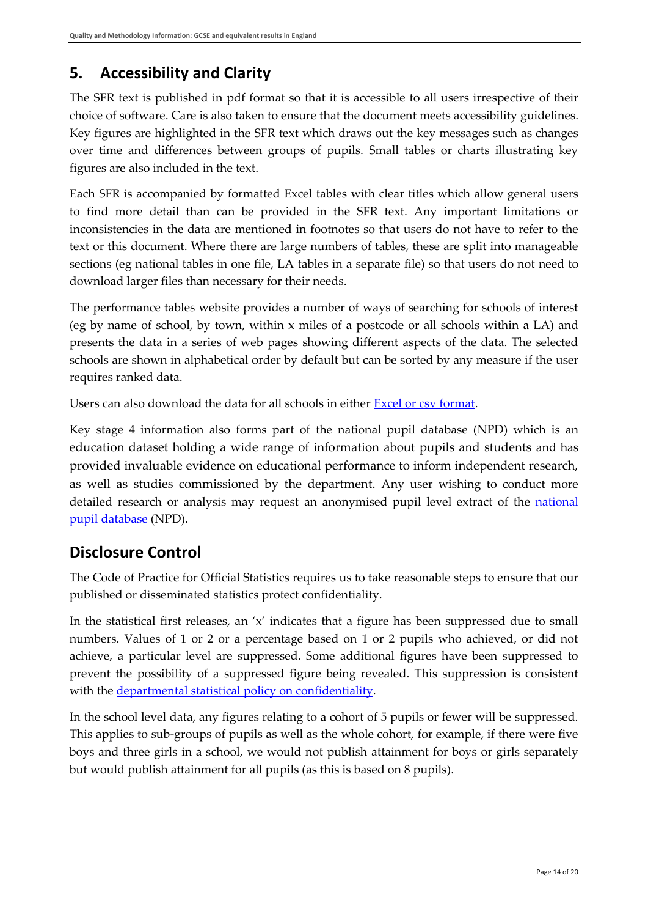## <span id="page-13-0"></span>**5. Accessibility and Clarity**

The SFR text is published in pdf format so that it is accessible to all users irrespective of their choice of software. Care is also taken to ensure that the document meets accessibility guidelines. Key figures are highlighted in the SFR text which draws out the key messages such as changes over time and differences between groups of pupils. Small tables or charts illustrating key figures are also included in the text.

Each SFR is accompanied by formatted Excel tables with clear titles which allow general users to find more detail than can be provided in the SFR text. Any important limitations or inconsistencies in the data are mentioned in footnotes so that users do not have to refer to the text or this document. Where there are large numbers of tables, these are split into manageable sections (eg national tables in one file, LA tables in a separate file) so that users do not need to download larger files than necessary for their needs.

The performance tables website provides a number of ways of searching for schools of interest (eg by name of school, by town, within x miles of a postcode or all schools within a LA) and presents the data in a series of web pages showing different aspects of the data. The selected schools are shown in alphabetical order by default but can be sorted by any measure if the user requires ranked data.

Users can also download the data for all schools in either [Excel or csv format.](http://www.education.gov.uk/schools/performance/download_data.html)

Key stage 4 information also forms part of the national pupil database (NPD) which is an education dataset holding a wide range of information about pupils and students and has provided invaluable evidence on educational performance to inform independent research, as well as studies commissioned by the department. Any user wishing to conduct more detailed research or analysis may request an anonymised pupil level extract of the national [pupil database](https://www.gov.uk/national-pupil-database-apply-for-a-data-extract) (NPD).

## <span id="page-13-1"></span>**Disclosure Control**

The Code of Practice for Official Statistics requires us to take reasonable steps to ensure that our published or disseminated statistics protect confidentiality.

In the statistical first releases, an  $x'$  indicates that a figure has been suppressed due to small numbers. Values of 1 or 2 or a percentage based on 1 or 2 pupils who achieved, or did not achieve, a particular level are suppressed. Some additional figures have been suppressed to prevent the possibility of a suppressed figure being revealed. This suppression is consistent with the [departmental statistical policy](http://www.gov.uk/government/uploads/system/uploads/attachment_data/file/190768/Confidentiality_Policy_v4.pdf) on confidentiality.

In the school level data, any figures relating to a cohort of 5 pupils or fewer will be suppressed. This applies to sub-groups of pupils as well as the whole cohort, for example, if there were five boys and three girls in a school, we would not publish attainment for boys or girls separately but would publish attainment for all pupils (as this is based on 8 pupils).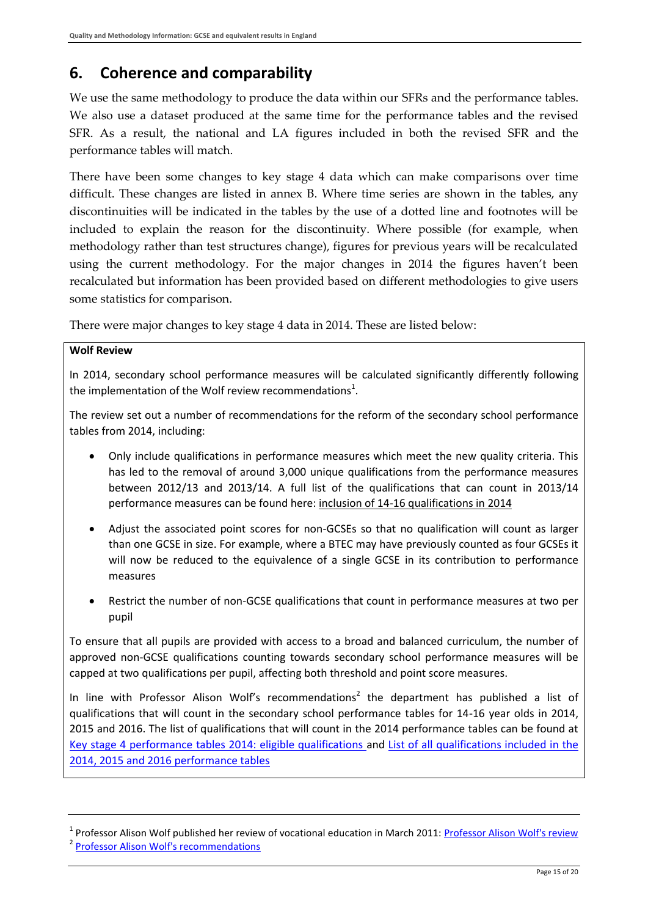## <span id="page-14-0"></span>**6. Coherence and comparability**

We use the same methodology to produce the data within our SFRs and the performance tables. We also use a dataset produced at the same time for the performance tables and the revised SFR. As a result, the national and LA figures included in both the revised SFR and the performance tables will match.

There have been some changes to key stage 4 data which can make comparisons over time difficult. These changes are listed in annex B. Where time series are shown in the tables, any discontinuities will be indicated in the tables by the use of a dotted line and footnotes will be included to explain the reason for the discontinuity. Where possible (for example, when methodology rather than test structures change), figures for previous years will be recalculated using the current methodology. For the major changes in 2014 the figures haven't been recalculated but information has been provided based on different methodologies to give users some statistics for comparison.

There were major changes to key stage 4 data in 2014. These are listed below:

#### **Wolf Review**

In 2014, secondary school performance measures will be calculated significantly differently following the implementation of the Wolf review recommendations<sup>1</sup>.

The review set out a number of recommendations for the reform of the secondary school performance tables from 2014, including:

- Only include qualifications in performance measures which meet the new quality criteria. This has led to the removal of around 3,000 unique qualifications from the performance measures between 2012/13 and 2013/14. A full list of the qualifications that can count in 2013/14 performance measures can be found here: [inclusion of 14-16 qualifications in 2014](http://www.gov.uk/government/uploads/system/uploads/attachment_data/file/277366/KS4_performance_tables_-_inclusion_of_14-16_qualifications_in_2014.pdf)
- Adjust the associated point scores for non-GCSEs so that no qualification will count as larger than one GCSE in size. For example, where a BTEC may have previously counted as four GCSEs it will now be reduced to the equivalence of a single GCSE in its contribution to performance measures
- Restrict the number of non-GCSE qualifications that count in performance measures at two per pupil

To ensure that all pupils are provided with access to a broad and balanced curriculum, the number of approved non-GCSE qualifications counting towards secondary school performance measures will be capped at two qualifications per pupil, affecting both threshold and point score measures.

In line with Professor Alison Wolf's recommendations<sup>2</sup> the department has published a list of qualifications that will count in the secondary school performance tables for 14-16 year olds in 2014, 2015 and 2016. The list of qualifications that will count in the 2014 performance tables can be found at [Key stage 4 performance tables 2014: eligible qualifications](http://www.education.gov.uk/schools/teachingandlearning/qualifications/a00202523/reform-of-14-to-16-performance-tables) and List of all [qualifications included in the](https://www.raiseonline.org/OpenDocument.aspx?document=224)  [2014, 2015 and 2016 performance tables](https://www.raiseonline.org/OpenDocument.aspx?document=224)

<sup>&</sup>lt;sup>1</sup> Professor Alison Wolf published her review of vocational education in March 2011: Professor Alison Wolf's review <sup>2</sup> [Professor Alison Wolf's recommendations](http://www.education.gov.uk/consultations/downloadableDocs/14-16%20policy%20paper%20for%20consultation%20-%20MG%20(3)%20final.pdf)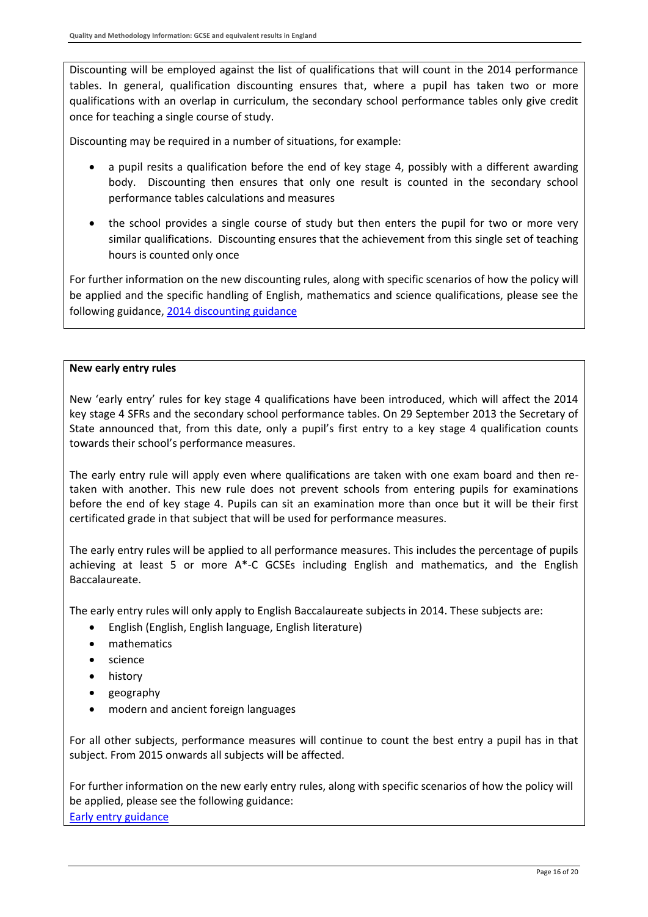Discounting will be employed against the list of qualifications that will count in the 2014 performance tables. In general, qualification discounting ensures that, where a pupil has taken two or more qualifications with an overlap in curriculum, the secondary school performance tables only give credit once for teaching a single course of study.

Discounting may be required in a number of situations, for example:

- a pupil resits a qualification before the end of key stage 4, possibly with a different awarding body. Discounting then ensures that only one result is counted in the secondary school performance tables calculations and measures
- the school provides a single course of study but then enters the pupil for two or more very similar qualifications. Discounting ensures that the achievement from this single set of teaching hours is counted only once

For further information on the new discounting rules, along with specific scenarios of how the policy will be applied and the specific handling of English, mathematics and science qualifications, please see the following guidance, [2014 discounting guidance](http://www.raiseonline.org/OpenDocument.aspx?document=276)

#### **New early entry rules**

New 'early entry' rules for key stage 4 qualifications have been introduced, which will affect the 2014 key stage 4 SFRs and the secondary school performance tables. On 29 September 2013 the Secretary of State announced that, from this date, only a pupil's first entry to a key stage 4 qualification counts towards their school's performance measures.

The early entry rule will apply even where qualifications are taken with one exam board and then retaken with another. This new rule does not prevent schools from entering pupils for examinations before the end of key stage 4. Pupils can sit an examination more than once but it will be their first certificated grade in that subject that will be used for performance measures.

The early entry rules will be applied to all performance measures. This includes the percentage of pupils achieving at least 5 or more A\*-C GCSEs including English and mathematics, and the English Baccalaureate.

The early entry rules will only apply to English Baccalaureate subjects in 2014. These subjects are:

- English (English, English language, English literature)
- mathematics
- science
- history
- geography
- modern and ancient foreign languages

For all other subjects, performance measures will continue to count the best entry a pupil has in that subject. From 2015 onwards all subjects will be affected.

For further information on the new early entry rules, along with specific scenarios of how the policy will be applied, please see the following guidance: [Early entry guidance](http://www.raiseonline.org/OpenDocument.aspx?document=289)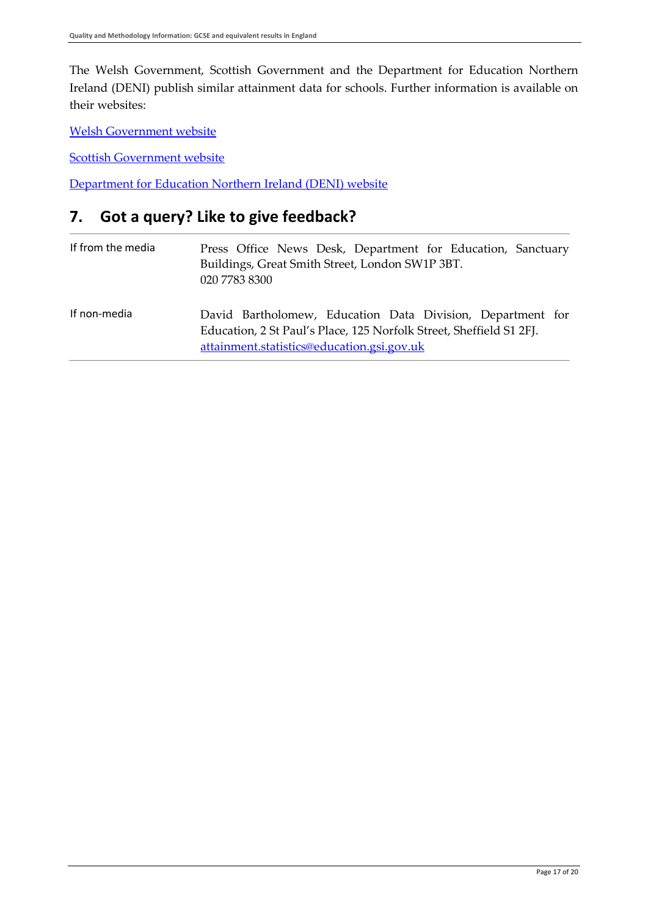The Welsh Government, Scottish Government and the Department for Education Northern Ireland (DENI) publish similar attainment data for schools. Further information is available on their websites:

[Welsh Government website](http://wales.gov.uk/topics/statistics/headlines/schools2013/;jsessionid=4DDB2A8FCCF44E0FCF9516B10599149C?lang=en)

[Scottish Government website](http://www.scotland.gov.uk/Topics/Statistics/Browse/School-Education/SSLN)

[Department for Education Northern Ireland \(DENI\) website](http://www.deni.gov.uk/index/facts-and-figures-new/education-statistics.htm)

## <span id="page-16-0"></span>**7. Got a query? Like to give feedback?**

| If from the media | Press Office News Desk, Department for Education, Sanctuary<br>Buildings, Great Smith Street, London SW1P 3BT.<br>020 7783 8300                                                 |
|-------------------|---------------------------------------------------------------------------------------------------------------------------------------------------------------------------------|
| If non-media      | David Bartholomew, Education Data Division, Department for<br>Education, 2 St Paul's Place, 125 Norfolk Street, Sheffield S1 2FJ.<br>attainment.statistics@education.gsi.gov.uk |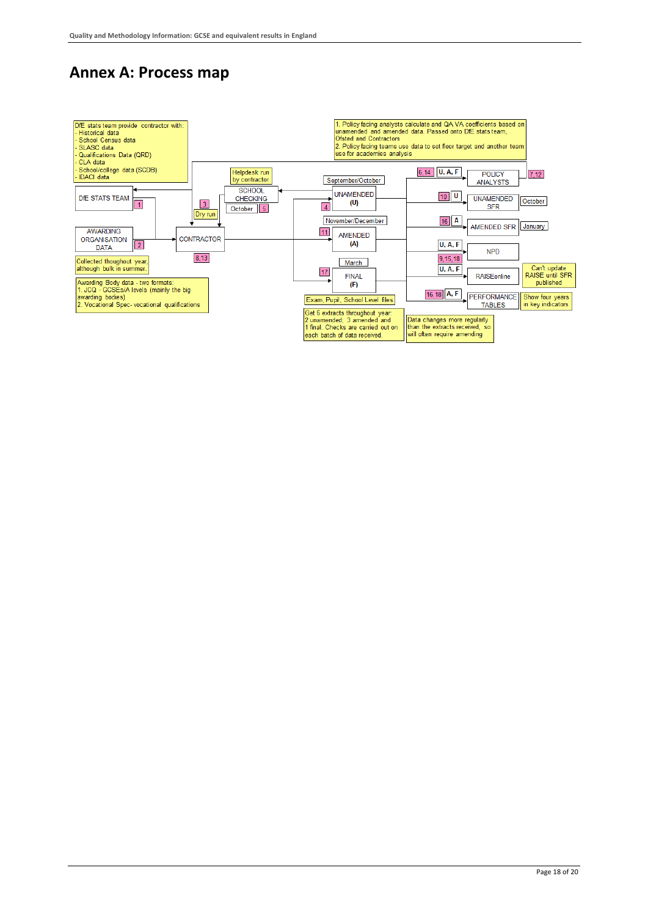## <span id="page-17-0"></span>**Annex A: Process map**

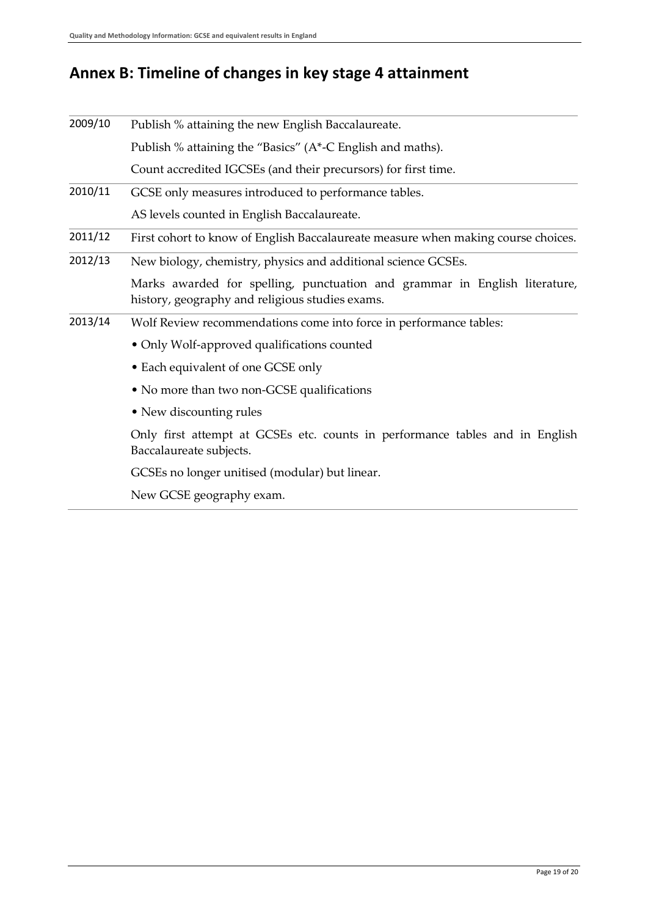## <span id="page-18-0"></span>**Annex B: Timeline of changes in key stage 4 attainment**

| 2009/10 | Publish % attaining the new English Baccalaureate.                                                                            |
|---------|-------------------------------------------------------------------------------------------------------------------------------|
|         | Publish % attaining the "Basics" (A*-C English and maths).                                                                    |
|         | Count accredited IGCSEs (and their precursors) for first time.                                                                |
| 2010/11 | GCSE only measures introduced to performance tables.                                                                          |
|         | AS levels counted in English Baccalaureate.                                                                                   |
| 2011/12 | First cohort to know of English Baccalaureate measure when making course choices.                                             |
| 2012/13 | New biology, chemistry, physics and additional science GCSEs.                                                                 |
|         | Marks awarded for spelling, punctuation and grammar in English literature,<br>history, geography and religious studies exams. |
| 2013/14 | Wolf Review recommendations come into force in performance tables:                                                            |
|         | • Only Wolf-approved qualifications counted                                                                                   |
|         | • Each equivalent of one GCSE only                                                                                            |
|         | • No more than two non-GCSE qualifications                                                                                    |
|         | • New discounting rules                                                                                                       |
|         | Only first attempt at GCSEs etc. counts in performance tables and in English<br>Baccalaureate subjects.                       |
|         | GCSEs no longer unitised (modular) but linear.                                                                                |
|         | New GCSE geography exam.                                                                                                      |